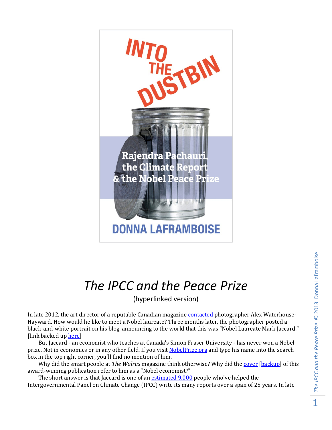

## *The IPCC and the Peace Prize*

(hyperlinked version)

In late 2012, the art director of a reputable Canadian magazine [contacted](http://blog.alexwaterhousehayward.com/2013/02/the-accidental-activist-me.html) photographer Alex Waterhouse-Hayward. How would he like to meet a Nobel laureate? Three months later, the photographer posted a black-and-white portrait on his blog, announcing to the world that this was "Nobel Laureate Mark Jaccard." [link backed up [here\]](http://www.webcitation.org/6Gc5MvjXo)

But Jaccard - an economist who teaches at Canada's Simon Fraser University - has never won a Nobel prize. Not in economics or in any other field. If you visit [NobelPrize.org](http://www.nobelprize.org/) and type his name into the search box in the top right corner, you'll find no mention of him.

Why did the smart people at *The Walrus* magazine think otherwise? Why did the [cover](http://thewalrus.ca/assets/img/covers/2013-03.jpg) [\[backup\]](http://www.webcitation.org/6JHWQaRZ6) of this award-winning publication refer to him as a "Nobel economist?"

The short answer is that Jaccard is one of a[n estimated 9,000](http://nofrakkingconsensus.com/2013/04/18/a-few-crumbs-of-pastry-more-nobel-nonsense/) people who've helped the Intergovernmental Panel on Climate Change (IPCC) write its many reports over a span of 25 years. In late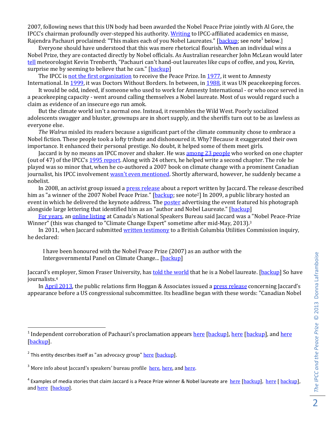2007, following news that this UN body had been awarded the Nobel Peace Prize jointly with Al Gore, the IPCC's chairman profoundly over-stepped his authority[. Writing](http://www.csiro.au/en/Organisation-Structure/Divisions/Marine--Atmospheric-Research/NobelPeacePrizeWinners.aspx) to IPCC-affiliated academics en masse, Rajendra Pachauri proclaimed: "This makes each of you Nobel Laureates." <u>[\[backup](http://www.webcitation.org/6CJNwoJl0)</u>; see note<sup>1</sup> below.]

Everyone should have understood that this was mere rhetorical flourish. When an individual wins a Nobel Prize, they are contacted directly by Nobel officials. As Australian researcher John McLean would later [tell](http://theconversation.com/hurricane-sandy-mixes-super-storm-conditions-with-climate-change-10388) meteorologist Kevin Trenberth, "Pachauri can't hand-out laureates like cups of coffee, and you, Kevin, surprise me by seeming to believe that he can." [\[backup\]](http://www.webcitation.org/6JHYFqtm5)

The IPCC is [not the first organization](http://nofrakkingconsensus.com/2011/01/24/all-for-a-nobel-cause/) to receive the Peace Prize. In [1977,](http://www.nobelprize.org/nobel_prizes/peace/laureates/1977/) it went to Amnesty International. In [1999,](http://www.nobelprize.org/nobel_prizes/peace/laureates/1999/) it was Doctors Without Borders. In between, in [1988,](http://www.nobelprize.org/nobel_prizes/peace/laureates/1988/) it was UN peacekeeping forces.

It would be odd, indeed, if someone who used to work for Amnesty International - or who once served in a peacekeeping capacity - went around calling themselves a Nobel laureate. Most of us would regard such a claim as evidence of an insecure ego run amok.

But the climate world isn't a normal one. Instead, it resembles the Wild West. Poorly socialized adolescents swagger and bluster, grownups are in short supply, and the sheriffs turn out to be as lawless as everyone else.

*The Walrus* misled its readers because a significant part of the climate community chose to embrace a Nobel fiction. These people took a lofty tribute and dishonoured it. Why? Because it exaggerated their own importance. It enhanced their personal prestige. No doubt, it helped some of them meet girls.

Jaccard is by no means an IPCC mover and shaker. He was [among 23 people](http://nofrakkingconsensus.com/2012/05/24/the-activist-economist-the-ipcc-part-1/) who worked on one chapter (out of 47) of the IPCC's [1995 report.](http://nofrakkingconsensus.files.wordpress.com/2012/05/sar_jaccard.pdf) Along with 24 others, he helped write a second chapter. The role he played was so minor that, when he co-authored a 2007 book on climate change with a prominent Canadian journalist, his IPCC involvement [wasn't even mentioned.](http://nofrakkingconsensus.com/2012/05/26/the-activist-economist-the-ipcc-part-2/) Shortly afterward, however, he suddenly became a nobelist.

In 2008, an activist group issued a **press release** about a report written by Jaccard. The release described him as "a winner of the 2007 Nobel Peace Prize." [\[backup;](http://www.webcitation.org/6JHYuKntg) see note<sup>2</sup>] In 2009, a public library hosted an event in which he delivered the keynote address. Th[e poster](https://nwep.ca/system/files/nwep%20agm%20poster%20AI%20%5BConverted%5D.pdf) advertising the event featured his photograph alongside large lettering that identified him as an "author and Nobel Laureate." [\[backup\]](http://www.webcitation.org/6GalPrvKl)

[For years,](http://nofrakkingconsensus.com/2013/05/14/speakers-bureau-still-says-jaccard-is-a-nobel-laureate/) an [online listing](http://web.archive.org/web/20101127172617/http:/nsb.com/speakers/view/mark-jaccard) at Canada's National Speakers Bureau said Jaccard was a "Nobel Peace-Prize Winner" (this was changed to "Climate Change Expert" sometime after mid-May, 2013).<sup>3</sup>

In 2011, when Jaccard submitted [written testimony](http://www.bcuc.com/Documents/Proceedings/2011/DOC_29118_C12-5_CORIX_%20Evidence-Dr-M-Jaccard.pdf) to a British Columbia Utilities Commission inquiry, he declared:

I have been honoured with the Nobel Peace Prize (2007) as an author with the Intergovernmental Panel on Climate Change... [\[backup\]](http://www.webcitation.org/6Gc4yMYxc)

Jaccard's employer, Simon Fraser University, has [told the world](http://www.sfu.ca/sfunews/stories/2013/jaccard-goes-to-washington.html) that he is a Nobel laureate. [\[backup\]](http://www.sfu.ca/sfunews/stories/2013/jaccard-goes-to-washington.html) So have journalists.<sup>4</sup>

In [April 2013,](http://nofrakkingconsensus.com/2013/04/16/mark-jaccard-counterfeit-nobel-laureate/) the public relations firm Hoggan & Associates issued a [press release](http://www.marketwatch.com/story/canadian-nobel-laureate-testifies-keystone-xl-pipeline-refusal-an-important-step-in-addressing-climate-change-2013-04-10) concerning Jaccard's appearance before a US congressional subcommittee. Its headline began with these words: "Canadian Nobel

 $\overline{\phantom{a}}$ 

<sup>&</sup>lt;sup>1</sup> Independent corroboration of Pachauri's proclamation appears <u>[here](http://www2.umt.edu/urelations/mainhall/1107/1107.htm) [\[backup](http://www.webcitation.org/6JHXK7lMg)], here [\[backup\]](http://www.webcitation.org/6JHXQVVbz),</u> and <u>here</u> [\[backup\]](http://www.webcitation.org/6JHXbaBhl).

<sup>&</sup>lt;sup>2</sup> This entity describes itself as "an advocacy group" <u>here [backup</u>].

<sup>&</sup>lt;sup>3</sup> More info about Jaccard's speakers' bureau profile [here,](http://nofrakkingconsensus.com/2013/07/23/mark-jaccard-re-writes-history/) [here,](http://www.webcitation.org/6GbmXK32d) and [here.](http://www.webcitation.org/6JHZZ7VpO)

<sup>&</sup>lt;sup>4</sup> Examples of media stories that claim Jaccard is a Peace Prize winner & Nobel laureate are <u>[here](http://www.cbc.ca/news/canada/british-columbia/story/2012/05/05/bc-jaccard-coal-protest.html) [\[backup\]](http://www.webcitation.org/6GakOvT3r), [here](http://www.vancouverobserver.com/blogs/earthmatters/public-discussion-should-citizens-concerned-about-climate-change-consider) [[backup\]](http://www.webcitation.org/6JHZw7mbh)</u>, and [here](http://metronews.ca/news/vancouver/214364/nobel-prize-winner-among-anti-coal-protesters-arrested-in-white-rock/) [\[backup\]](http://www.webcitation.org/6JHa9rfND).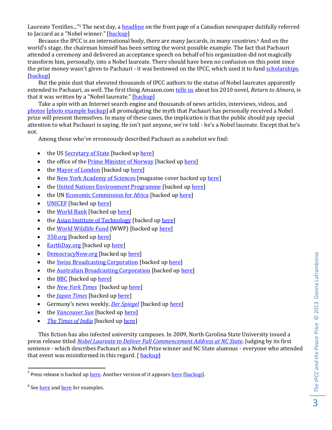Laureate Testifies..."<sup>5</sup> The next day, a [headline](http://www2.canada.com/calgaryherald/news/story.html?id=970e9f01-bbc3-4c54-9b43-d2a3205284c8&p=2) on the front page of a Canadian newspaper dutifully referred to Jaccard as a "Nobel winner." [\[backup\]](http://www.webcitation.org/6FvaodBlc)

Because the IPCC is an international body, there are many Jaccards, in many countries.<sup>6</sup> And on the world's stage, the chairman himself has been setting the worst possible example. The fact that Pachauri attended a ceremony and delivered an acceptance speech on behalf of his organization did not magically transform him, personally, into a Nobel laureate. There should have been no confusion on this point since the prize money wasn't given to Pachauri - it was bestowed on the IPCC, which used it to fun[d scholarships.](http://www.ipcc.ch/ipcc-scholarship-programme/ipcc_scholarshipprogramme.shtml#tabs-3) [\[backup\]](http://www.webcitation.org/6JHbE1U2o)

But the pixie dust that elevated thousands of IPCC authors to the status of Nobel laureates apparently extended to Pachauri, as well. The first thing Amazon.com [tells us](http://www.amazon.com/Return-to-Almora-ebook/dp/B00DBTHBZY/ref=sr_1_2?s=books&ie=UTF8&qid=1377951135&sr=1-2&keywords=return+to+almora) about his 2010 novel, *Return to Almora*, is that it was written by a "Nobel laureate." [\[backup\]](http://www.webcitation.org/6JHbP8kco)

Take a spin with an Internet search engine and thousands of news articles, interviews, videos, and [photos](http://www.gettyimages.ca/detail/news-photo/nobel-peace-prize-winner-rajendra-pachauri-chairman-of-the-news-photo/77394788?Language=en-US) [\[photo example backup\]](http://www.webcitation.org/6JHjAbV6n) all promulgating the myth that Pachauri has personally received a Nobel prize will present themselves. In many of these cases, the implication is that the public should pay special attention to what Pachauri is saying. He isn't just anyone, we're told - he's a Nobel laureate. Except that he's not.

Among those who've erroneously described Pachauri as a nobelist we find:

- the U[S Secretary of State](http://www.state.gov/secretary/remarks/2013/06/211013.htm) [backed up [here\]](http://www.webcitation.org/6JHjbblUf)
- the office of the **Prime Minister of Norway** [backed u[p here\]](http://www.webcitation.org/6JHjpjgfc)
- th[e Mayor of London](http://www.london.gov.uk/media/mayor-press-releases/2007/11/london-mayor-and-nobel-prize-winner-dr-rajendra-k-pachauri-urge-city-cooperation-to-tackle-climate-change) [backed u[p here\]](http://www.webcitation.org/6JHjviAVA)
- th[e New York Academy of Sciences](http://www.nyas.org/asset.axd?id=25dd9199-70a1-4936-97c8-50398ac1ca04&t=633912003861130000) [magazine cover backed up [here\]](http://nofrakkingconsensus.files.wordpress.com/2013/08/ny_academyofsciences_2009magazine.pdf)
- th[e United Nations Environment Programme](http://www.unep.org/climatechange/UNEParchive/Day8/tabid/2529/Default.aspx) [backed up [here\]](http://www.webcitation.org/6JHkz0epe)
- the U[N Economic Commission for Africa](http://appablog.wordpress.com/2007/12/12/eca-to-establish-african-climate-policy-centre-with-nobel-prize-winner-pachauri/) [backed u[p here\]](http://www.webcitation.org/6JHlgnZOE)
- $\bullet$  [UNICEF](http://www.unicef.org.uk/UNICEFs-Work/What-we-do/Issues-we-work-on/Climate-change/Dr-Rajendra-Pachauri-on-climate-change/) [backed u[p here\]](http://www.webcitation.org/6JHlBcvDH)
- th[e World Bank](http://web.worldbank.org/WBSITE/EXTERNAL/PROJECTS/0,,contentMDK:22507014~pagePK:41367~printPK:8795~piPK:51533~theSitePK:40941,00.html) [backed u[p here\]](http://www.webcitation.org/6JHl4GGm8)
- th[e Asian Institute of Technology](http://www.ait.ac.th/news-and-events/2011/news/nobel-laureate-advocates-new-development-path/#.UfAqNm37YQk) [backed u[p here\]](http://www.webcitation.org/6JHlF87mS)
- th[e World Wildlife Fund](http://www.wwf.org.uk/how_you_can_help/get_your_business_involved/one_in_five_challenge/) (WWF) [backed up [here\]](http://www.webcitation.org/6JHllpELn)
- $\bullet$  [350.org](http://350.org/en/about/blogs/rajendra-pachauri-worlds-will-tackle-climate-change-irresistible) [backed up [here\]](http://www.webcitation.org/6JHlrdyOA)
- [EarthDay.org](http://www.earthday.org/global-advisory-committee) [backed up [here\]](http://www.webcitation.org/6JHlvw5Jo)
- [DemocracyNow.org](http://www.democracynow.org/2011/12/7/nobel_winning_ipcc_chair_rajendra_pachauri) [backed u[p here\]](http://www.webcitation.org/6JHm3fcpK)
- th[e Swiss Broadcasting Corporation](http://www.swissinfo.ch/eng/politics/Nobel_Prize_winner_slams_climate_efforts.html?cid=36580) [backed up [here\]](http://www.webcitation.org/6JHm78MN2)
- th[e Australian Broadcasting Corporation](http://www.abc.net.au/7.30/content/2009/s2700047.htm) [backed up [here\]](http://www.webcitation.org/6JHmBf9H1)
- $\bullet$  the **[BBC](http://www.bbc.co.uk/news/business-18067584)** [backed up [here\]](http://www.webcitation.org/6INJ8Fhnq)
- the *[New York Times](http://www.nytimes.com/2010/01/26/science/26tier.html)* [backed up [here\]](http://www.webcitation.org/6JHmIPdHh)
- the *[Japan Times](http://www.japantimes.co.jp/news/2008/06/22/national/nobel-laureate-raps-japan-for-avoiding-midterm-carbon-goal/#.UfAwf237YQk)* [backed u[p here\]](http://www.webcitation.org/6JHmOGgbq)
- Germany's news weekly, *[Der Spiegel](http://www.spiegel.de/international/world/confidence-melting-away-can-climate-forecasts-still-be-trusted-a-674087.html)* [backed u[p here\]](http://www.webcitation.org/6INJYzDj3)
- the *[Vancouver Sun](http://www.canada.com/vancouversun/news/story.html?id=ea4d1ddd-900e-4126-aa60-b3ad6e5ff516)* [backed u[p here\]](http://www.webcitation.org/6JHmWQhEa)
- *[The Times of India](http://articles.timesofindia.indiatimes.com/2013-01-07/kolkata/36192042_1_yale-s-climate-rajendra-k-pachauri-climate-and-energy)* [backed up <u>here]</u>

This fiction has also infected university campuses. In 2009, North Carolina State University issued a press release titled *[Nobel Laureate to Deliver Fall Commencement Address at NC State](http://news.ncsu.edu/releases/fall09commencement/)*. Judging by its first sentence - which describes Pachauri as a Nobel Prize winner and NC State alumnus - everyone who attended that event was misinformed in this regard. [[backup\]](http://www.webcitation.org/6JHnGzi8Z)

 $\overline{\phantom{a}}$ 

<sup>&</sup>lt;sup>5</sup> Press release is backed up <u>here</u>. Another version of it appears <u>here</u> [<u>backup]</u>.

<sup>&</sup>lt;sup>6</sup> See <u>here</u> and <u>here</u> for examples.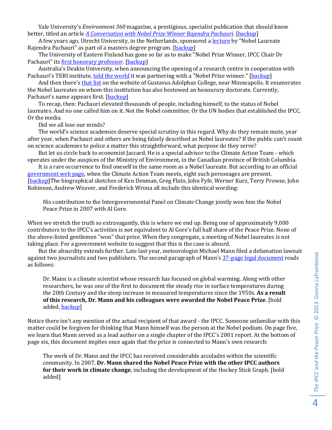Yale University's *Environment 360* magazine, a prestigious, specialist publication that should know better, titled an article *[A Conversation with Nobel Prize Winner Rajendra Pachauri](http://e360.yale.edu/feature/a_conversation_with_nobel_prize_winner_rajendra_pachauri/2006/)*. [\[backup\]](http://www.webcitation.org/6JHnM0lu0)

A few years ago, Utrecht University, in the Netherlands, sponsored a [lecture](http://www.uu.nl/faculty/geosciences/EN/studying/informationforstudents/current/Pages/bs-ms-masterclassRajendraPachauri.aspx) by "Nobel Laureate Rajendra Pachauri" as part of a masters degree program. [\[backup\]](http://www.webcitation.org/6JHnVMisz)

The University of Eastern Finland has gone so far as to make "Nobel Prize Winner, IPCC Chair Dr Pachauri" its [first honorary professor.](http://koliforum.fi/nobel-prize-winner-dr-pachauri-appointed-as-uef-honorary-professor/) [\[backup\]](http://www.webcitation.org/6JHnaSJub)

Australia's Deakin University, when announcing the opening of a research centre in cooperation with Pachauri's TERI institute, [told the world](http://www.deakin.edu.au/research/stories/2010/11/27/deakin-university-and-teri-launch-new-centre) it was partnering with a "Nobel Prize winner." [\[backup\]](http://www.webcitation.org/6JHnk63ez)

And then there's [that](https://gustavus.edu/events/nobelconference/nobelfoundation/degrees.php) list on the website of Gustavus Adolphus College, near Minneapolis. It enumerates the Nobel laureates on whom this institution has also bestowed an honourary doctorate. Currently, Pachauri's name appears first. **[\[backup\]](http://www.webcitation.org/6JHnnhF2t)** 

To recap, then: Pachauri elevated thousands of people, including himself, to the status of Nobel laureates. And no one called him on it. Not the Nobel committee. Or the UN bodies that established the IPCC. Or the media.

Did we all lose our minds?

The world's science academies deserve special scrutiny in this regard. Why do they remain mute, year after year, when Pachauri and others are being falsely described as Nobel laureates? If the public can't count on science academies to police a matter this straightforward, what purpose do they serve?

But let us circle back to economist Jaccard. He is a special advisor to the Climate Action Team - which operates under the auspices of the Ministry of Environment, in the Canadian province of British Columbia.

It is a rare occurrence to find oneself in the same room as a Nobel laureate. But according to an official [government web page,](http://www.env.gov.bc.ca/cas/mitigation/members.html) when the Climate Action Team meets, eight such personages are present. [\[backup\]](http://www.webcitation.org/6INpAEgiE)The biographical sketches of Ken Denman, Greg Flato, John Fyfe, Werner Kurz, Terry Prowse, John Robinson, Andrew Weaver, and Frederick Wrona all include this identical wording:

His contribution to the Intergovernmental Panel on Climate Change jointly won him the Nobel Peace Prize in 2007 with Al Gore.

When we stretch the truth so extravagantly, this is where we end up. Being one of approximately 9,000 contributors to the IPCC's activities is not equivalent to Al Gore's full half share of the Peace Prize. None of the above-listed gentlemen "won" that prize. When they congregate, a meeting of Nobel laureates is not taking place. For a government website to suggest that this is the case is absurd.

But the absurdity extends further. Late last year, meteorologist Michael Mann filed a defamation lawsuit against two journalists and two publishers. The second paragraph of Mann's [37-page legal document](http://legaltimes.typepad.com/files/michael-mann-complaint.pdf) reads as follows:

Dr. Mann is a climate scientist whose research has focused on global warming. Along with other researchers, he was one of the first to document the steady rise in surface temperatures during the 20th Century and the steep increase in measured temperatures since the 1950s. **As a result of this research, Dr. Mann and his colleagues were awarded the Nobel Peace Prize.** [bold added, [backup\]](http://www.webcitation.org/6JHoAmEbR)

Notice there isn't any mention of the actual recipient of that award - the IPCC. Someone unfamiliar with this matter could be forgiven for thinking that Mann himself was the person at the Nobel podium. On page five, we learn that Mann served as a lead author on a single chapter of the IPCC's 2001 report. At the bottom of page six, this document implies once again that the prize is connected to Mann's own research:

The work of Dr. Mann and the IPCC has received considerable accolades within the scientific community. In 2007, **Dr. Mann shared the Nobel Peace Prize with the other IPCC authors for their work in climate change**, including the development of the Hockey Stick Graph. [bold added]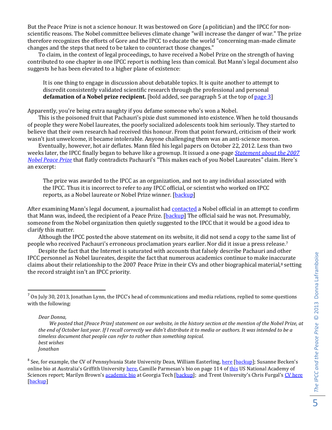But the Peace Prize is not a science honour. It was bestowed on Gore (a politician) and the IPCC for nonscientific reasons. The Nobel committee believes climate change "will increase the danger of war." The prize therefore recognizes the efforts of Gore and the IPCC to educate the world "concerning man-made climate changes and the steps that need to be taken to counteract those changes."

To claim, in the context of legal proceedings, to have received a Nobel Prize on the strength of having contributed to one chapter in one IPCC report is nothing less than comical. But Mann's legal document also suggests he has been elevated to a higher plane of existence:

It is one thing to engage in discussion about debatable topics. It is quite another to attempt to discredit consistently validated scientific research through the professional and personal **defamation of a Nobel prize recipient.** [bold added, see paragraph 5 at the top of [page 3\]](http://legaltimes.typepad.com/files/michael-mann-complaint.pdf)

Apparently, you're being extra naughty if you defame someone who's won a Nobel.

This is the poisoned fruit that Pachauri's pixie dust summoned into existence. When he told thousands of people they were Nobel laureates, the poorly socialized adolescents took him seriously. They started to believe that their own research had received this honour. From that point forward, criticism of their work wasn't just unwelcome, it became intolerable. Anyone challenging them was an anti-science moron.

Eventually, however, hot air deflates. Mann filed his legal papers on October 22, 2012. Less than two weeks later, the IPCC finally began to behave like a grownup. It issued a one-page *[Statement about the 2007](http://www.ipcc.ch/pdf/nobel/Nobel_statement_final.pdf)  [Nobel Peace Prize](http://www.ipcc.ch/pdf/nobel/Nobel_statement_final.pdf)* that flatly contradicts Pachauri's "This makes each of you Nobel Laureates" claim. Here's an excerpt:

The prize was awarded to the IPCC as an organization, and not to any individual associated with the IPCC. Thus it is incorrect to refer to any IPCC official, or scientist who worked on IPCC reports, as a Nobel laureate or Nobel Prize winner. [\[backup\]](http://www.webcitation.org/6CJM7gRit)

After examining Mann's legal document, a journalist had [contacted](http://www.examiner.com/article/professor-mann-claims-to-win-nobel-prize-nobel-committee-says-he-has-not) a Nobel official in an attempt to confirm that Mann was, indeed, the recipient of a Peace Prize. [\[backup\]](http://www.webcitation.org/6JHouIpma) The official said he was not. Presumably, someone from the Nobel organization then quietly suggested to the IPCC that it would be a good idea to clarify this matter.

Although the IPCC posted the above statement on its website, it did not send a copy to the same list of people who received Pachauri's erroneous proclamation years earlier. Nor did it issue a press release.<sup>7</sup>

Despite the fact that the Internet is saturated with accounts that falsely describe Pachauri and other IPCC personnel as Nobel laureates, despite the fact that numerous academics continue to make inaccurate claims about their relationship to the 2007 Peace Prize in their CVs and other biographical material, $8$  setting the record straight isn't an IPCC priority.

## *Dear Donna,*

 $\overline{\phantom{a}}$ 

 $^7$  On July 30, 2013, Jonathan Lynn, the IPCC's head of communications and media relations, replied to some questions with the following:

We posted that *[Peace Prize] statement on our website, in the history section at the mention of the Nobel Prize, at the end of October last year. If I recall correctly we didn't distribute it to media or authors. It was intended to be a timeless document that people can refer to rather than something topical. best wishes Jonathan*

<sup>&</sup>lt;sup>8</sup> See, for example, the CV of Pennsylvania State University Dean, William Easterling, <u>here [\[backup\]](http://www.webcitation.org/6JHs960cv);</u> Susanne Becken's online bio at Australia's Griffith Universit[y here,](http://www.griffith.edu.au/professional-page/susanne-becken/curriculum-vitae) Camille Parmesan's bio on page 114 o[f this](http://www.nap.edu/catalog.php?record_id=18322) US National Academy of Sciences report; Marilyn Brown's [academic bio](http://www.spp.gatech.edu/aboutus/faculty/MarilynBrown) at Georgia Tech [\[backup\]](http://www.webcitation.org/6JHrTFGdW); and Trent University's Chris Furgal'[s CV here](http://cfurgalresearch.files.wordpress.com/2012/11/cfurgal_cv_sept-2012.pdf) [\[backup\]](http://www.webcitation.org/6JHrf6us0)